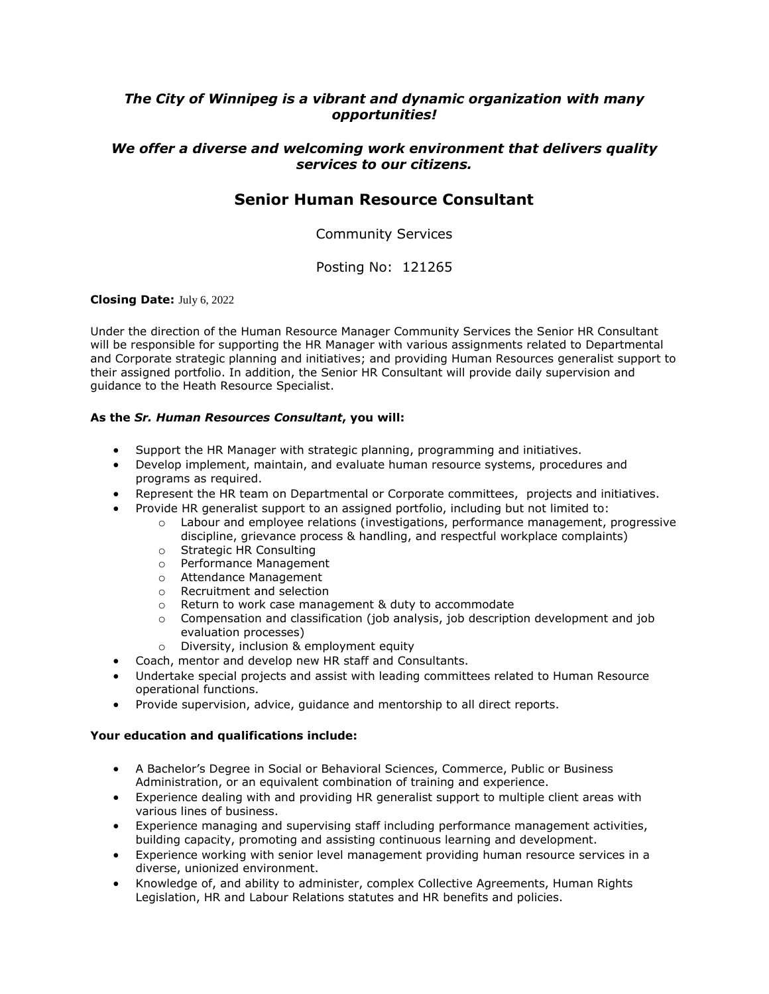## *The City of Winnipeg is a vibrant and dynamic organization with many opportunities!*

## *We offer a diverse and welcoming work environment that delivers quality services to our citizens.*

## **Senior Human Resource Consultant**

Community Services

Posting No: 121265

#### **Closing Date:** July 6, 2022

Under the direction of the Human Resource Manager Community Services the Senior HR Consultant will be responsible for supporting the HR Manager with various assignments related to Departmental and Corporate strategic planning and initiatives; and providing Human Resources generalist support to their assigned portfolio. In addition, the Senior HR Consultant will provide daily supervision and guidance to the Heath Resource Specialist.

#### **As the** *Sr. Human Resources Consultant***, you will:**

- Support the HR Manager with strategic planning, programming and initiatives.
- Develop implement, maintain, and evaluate human resource systems, procedures and programs as required.
- Represent the HR team on Departmental or Corporate committees, projects and initiatives.
- Provide HR generalist support to an assigned portfolio, including but not limited to:
	- o Labour and employee relations (investigations, performance management, progressive discipline, grievance process & handling, and respectful workplace complaints)
	- o Strategic HR Consulting<br>o Performance Manageme
	- Performance Management
	- o Attendance Management
	- o Recruitment and selection
	- o Return to work case management & duty to accommodate
	- $\circ$  Compensation and classification (job analysis, job description development and job evaluation processes)
	- o Diversity, inclusion & employment equity
- Coach, mentor and develop new HR staff and Consultants.
- Undertake special projects and assist with leading committees related to Human Resource operational functions.
- Provide supervision, advice, guidance and mentorship to all direct reports.

#### **Your education and qualifications include:**

- A Bachelor's Degree in Social or Behavioral Sciences, Commerce, Public or Business Administration, or an equivalent combination of training and experience.
- Experience dealing with and providing HR generalist support to multiple client areas with various lines of business.
- Experience managing and supervising staff including performance management activities, building capacity, promoting and assisting continuous learning and development.
- Experience working with senior level management providing human resource services in a diverse, unionized environment.
- Knowledge of, and ability to administer, complex Collective Agreements, Human Rights Legislation, HR and Labour Relations statutes and HR benefits and policies.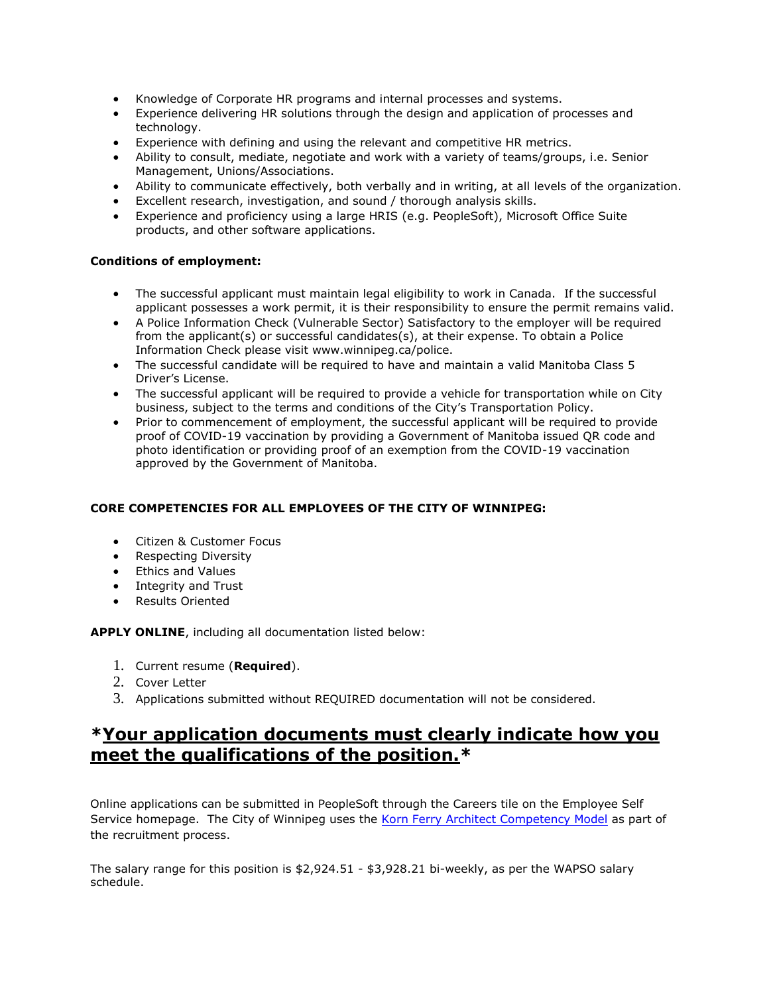- Knowledge of Corporate HR programs and internal processes and systems.
- Experience delivering HR solutions through the design and application of processes and technology.
- Experience with defining and using the relevant and competitive HR metrics.
- Ability to consult, mediate, negotiate and work with a variety of teams/groups, i.e. Senior Management, Unions/Associations.
- Ability to communicate effectively, both verbally and in writing, at all levels of the organization.
- Excellent research, investigation, and sound / thorough analysis skills.
- Experience and proficiency using a large HRIS (e.g. PeopleSoft), Microsoft Office Suite products, and other software applications.

#### **Conditions of employment:**

- The successful applicant must maintain legal eligibility to work in Canada. If the successful applicant possesses a work permit, it is their responsibility to ensure the permit remains valid.
- A Police Information Check (Vulnerable Sector) Satisfactory to the employer will be required from the applicant(s) or successful candidates(s), at their expense. To obtain a Police Information Check please visit www.winnipeg.ca/police.
- The successful candidate will be required to have and maintain a valid Manitoba Class 5 Driver's License.
- The successful applicant will be required to provide a vehicle for transportation while on City business, subject to the terms and conditions of the City's Transportation Policy.
- Prior to commencement of employment, the successful applicant will be required to provide proof of COVID-19 vaccination by providing a Government of Manitoba issued QR code and photo identification or providing proof of an exemption from the COVID-19 vaccination approved by the Government of Manitoba.

### **CORE COMPETENCIES FOR ALL EMPLOYEES OF THE CITY OF WINNIPEG:**

- Citizen & Customer Focus
- Respecting Diversity
- Ethics and Values
- Integrity and Trust
- Results Oriented

**APPLY ONLINE**, including all documentation listed below:

- 1. Current resume (**Required**).
- 2. Cover Letter
- 3. Applications submitted without REQUIRED documentation will not be considered.

# **\*Your application documents must clearly indicate how you meet the qualifications of the position.\***

Online applications can be submitted in PeopleSoft through the Careers tile on the Employee Self Service homepage. The City of Winnipeg uses the [Korn Ferry Architect Competency Model](http://citynet/hrintra/wkforce/CompetencyModelDevelopment/competencies.stm) as part of the recruitment process.

The salary range for this position is \$2,924.51 - \$3,928.21 bi-weekly, as per the WAPSO salary schedule.